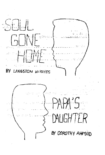